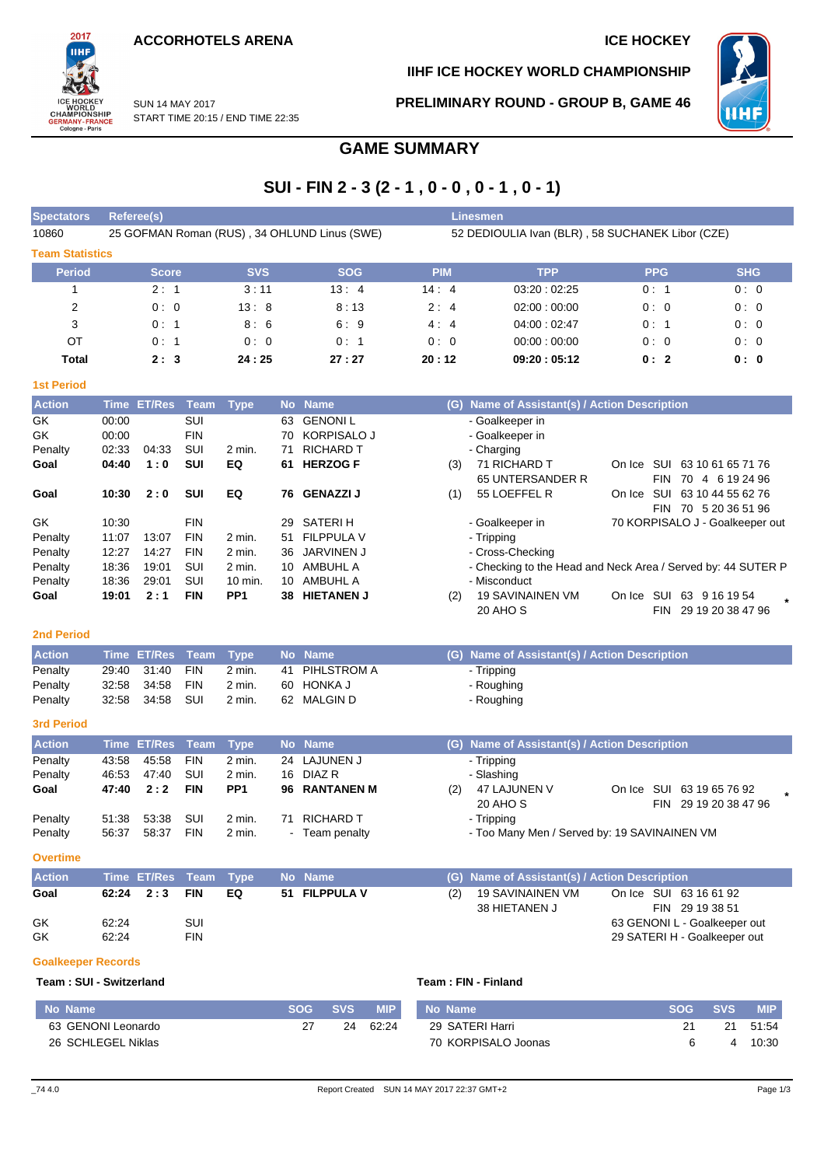START TIME 20:15 / END TIME 22:35

SUN 14 MAY 2017



**IIHF ICE HOCKEY WORLD CHAMPIONSHIP**

**PRELIMINARY ROUND - GROUP B, GAME 46**



## **GAME SUMMARY**

## $SIII - FIN 2 - 3 (2 - 1)$  0 - 0 0 - 1 0 - 1)

|                           |                |                    |                   |                 |           | 301 - FIN Z - 3 (Z - 1 , V - V , V - 1 , V - 1) |                                                  |                                                              |                                 |                       |  |  |  |  |  |  |  |
|---------------------------|----------------|--------------------|-------------------|-----------------|-----------|-------------------------------------------------|--------------------------------------------------|--------------------------------------------------------------|---------------------------------|-----------------------|--|--|--|--|--|--|--|
| <b>Spectators</b>         |                | Referee(s)         |                   |                 |           |                                                 |                                                  | <b>Linesmen</b>                                              |                                 |                       |  |  |  |  |  |  |  |
| 10860                     |                |                    |                   |                 |           | 25 GOFMAN Roman (RUS), 34 OHLUND Linus (SWE)    | 52 DEDIOULIA Ivan (BLR), 58 SUCHANEK Libor (CZE) |                                                              |                                 |                       |  |  |  |  |  |  |  |
| <b>Team Statistics</b>    |                |                    |                   |                 |           |                                                 |                                                  |                                                              |                                 |                       |  |  |  |  |  |  |  |
| <b>Period</b>             |                | <b>Score</b>       |                   | <b>SVS</b>      |           | <b>SOG</b>                                      | <b>PIM</b>                                       | <b>TPP</b>                                                   | <b>PPG</b>                      | <b>SHG</b>            |  |  |  |  |  |  |  |
| 1                         |                | 2:1                |                   | 3:11            |           | 13:4                                            | 14:4                                             | 03:20:02:25                                                  | 0:1                             | 0:0                   |  |  |  |  |  |  |  |
| 2                         |                | 0:0                |                   | 13:8            |           | 8:13                                            | 2:4                                              | 02:00:00:00                                                  | 0:0                             | 0:0                   |  |  |  |  |  |  |  |
| 3                         |                | 0: 1               |                   | 8:6             |           | 6:9                                             | 4:4                                              | 04:00:02:47                                                  | 0:1                             | 0:0                   |  |  |  |  |  |  |  |
| OT                        |                | 0: 1               |                   | 0:0             |           | 0: 1                                            | 0:0                                              | 00:00:00:00                                                  | 0:0                             | 0:0                   |  |  |  |  |  |  |  |
| Total                     |                | 2:3                |                   | 24:25           |           | 27:27                                           | 20:12                                            | 0: 0                                                         |                                 |                       |  |  |  |  |  |  |  |
| <b>1st Period</b>         |                |                    |                   |                 |           |                                                 |                                                  |                                                              |                                 |                       |  |  |  |  |  |  |  |
| <b>Action</b>             |                | <b>Time ET/Res</b> | <b>Team</b>       |                 |           | No Name                                         |                                                  | (G) Name of Assistant(s) / Action Description                |                                 |                       |  |  |  |  |  |  |  |
| GK                        | 00:00          |                    | SUI               | <b>Type</b>     | 63        | <b>GENONIL</b>                                  |                                                  | - Goalkeeper in                                              |                                 |                       |  |  |  |  |  |  |  |
| GK                        | 00:00          |                    | <b>FIN</b>        |                 | 70        | KORPISALO J                                     |                                                  | - Goalkeeper in                                              |                                 |                       |  |  |  |  |  |  |  |
| Penalty                   | 02:33          | 04:33              | SUI               | 2 min.          | 71        | <b>RICHARD T</b>                                |                                                  | - Charging                                                   |                                 |                       |  |  |  |  |  |  |  |
| Goal                      | 04:40          | 1:0                | SUI               | EQ              |           | 61 HERZOG F                                     | (3)                                              | 71 RICHARD T                                                 | On Ice SUI 63 10 61 65 71 76    |                       |  |  |  |  |  |  |  |
|                           |                |                    |                   |                 |           |                                                 |                                                  | 65 UNTERSANDER R                                             | <b>FIN</b>                      | 70 4 6 19 24 96       |  |  |  |  |  |  |  |
| Goal                      | 10:30          | 2:0                | SUI               | EQ              | 76        | <b>GENAZZI J</b>                                | (1)                                              | 55 LOEFFEL R                                                 | On Ice SUI 63 10 44 55 62 76    |                       |  |  |  |  |  |  |  |
| GK                        | 10:30          |                    | <b>FIN</b>        |                 | 29        | <b>SATERIH</b>                                  |                                                  | - Goalkeeper in                                              | 70 KORPISALO J - Goalkeeper out | FIN 70 5 20 36 51 96  |  |  |  |  |  |  |  |
| Penalty                   | 11:07          | 13:07              | <b>FIN</b>        | 2 min.          | 51        | <b>FILPPULA V</b>                               |                                                  | - Tripping                                                   |                                 |                       |  |  |  |  |  |  |  |
| Penalty                   | 12:27          | 14:27              | <b>FIN</b>        | 2 min.          | 36        | <b>JARVINEN J</b>                               |                                                  | - Cross-Checking                                             |                                 |                       |  |  |  |  |  |  |  |
| Penalty                   | 18:36          | 19:01              | SUI               | 2 min.          | 10        | AMBUHL A                                        |                                                  | - Checking to the Head and Neck Area / Served by: 44 SUTER P |                                 |                       |  |  |  |  |  |  |  |
| Penalty                   | 18:36          | 29:01              | SUI               | 10 min.         | 10        | AMBUHL A                                        |                                                  | - Misconduct                                                 |                                 |                       |  |  |  |  |  |  |  |
| Goal                      | 19:01          | 2:1                | <b>FIN</b>        | PP <sub>1</sub> |           | 38 HIETANEN J                                   | (2)                                              | <b>19 SAVINAINEN VM</b>                                      | On Ice SUI 63 9 16 19 54        |                       |  |  |  |  |  |  |  |
|                           |                |                    |                   |                 |           |                                                 |                                                  | 20 AHO S                                                     |                                 | FIN 29 19 20 38 47 96 |  |  |  |  |  |  |  |
| <b>2nd Period</b>         |                |                    |                   |                 |           |                                                 |                                                  |                                                              |                                 |                       |  |  |  |  |  |  |  |
| <b>Action</b>             |                | <b>Time ET/Res</b> | <b>Team</b>       | <b>Type</b>     | <b>No</b> | <b>Name</b>                                     |                                                  | (G) Name of Assistant(s) / Action Description                |                                 |                       |  |  |  |  |  |  |  |
| Penalty                   | 29:40          | 31:40              | <b>FIN</b>        | 2 min.          | 41        | PIHLSTROM A                                     |                                                  | - Tripping                                                   |                                 |                       |  |  |  |  |  |  |  |
| Penalty                   | 32:58          | 34:58              | <b>FIN</b>        | 2 min.          | 60        | <b>HONKA J</b>                                  |                                                  | - Roughing                                                   |                                 |                       |  |  |  |  |  |  |  |
| Penalty                   | 32:58          | 34:58              | SUI               | 2 min.          |           | 62 MALGIN D                                     |                                                  | - Roughing                                                   |                                 |                       |  |  |  |  |  |  |  |
| <b>3rd Period</b>         |                |                    |                   |                 |           |                                                 |                                                  |                                                              |                                 |                       |  |  |  |  |  |  |  |
| <b>Action</b>             |                | <b>Time ET/Res</b> | Team              | <b>Type</b>     |           | No Name                                         |                                                  | (G) Name of Assistant(s) / Action Description                |                                 |                       |  |  |  |  |  |  |  |
| Penalty                   | 43:58          | 45:58              | <b>FIN</b>        | 2 min.          | 24        | LAJUNEN J                                       |                                                  | - Tripping                                                   |                                 |                       |  |  |  |  |  |  |  |
| Penalty                   | 46:53          | 47:40              | SUI               | 2 min.          | 16        | DIAZ R                                          |                                                  | - Slashing                                                   |                                 |                       |  |  |  |  |  |  |  |
| Goal                      | 47:40          | 2:2                | <b>FIN</b>        | PP <sub>1</sub> | 96        | <b>RANTANEN M</b>                               | (2)                                              | <b>47 LAJUNEN V</b>                                          | On Ice SUI 63 19 65 76 92       |                       |  |  |  |  |  |  |  |
|                           |                |                    |                   |                 |           |                                                 |                                                  | 20 AHO S                                                     |                                 | FIN 29 19 20 38 47 96 |  |  |  |  |  |  |  |
| Penalty                   | 51:38          | 53:38              | SUI               | 2 min.          |           | 71 RICHARD T                                    |                                                  | - Tripping                                                   |                                 |                       |  |  |  |  |  |  |  |
| Penalty                   | 56:37          | 58:37              | <b>FIN</b>        | 2 min.          |           | - Team penalty                                  |                                                  | - Too Many Men / Served by: 19 SAVINAINEN VM                 |                                 |                       |  |  |  |  |  |  |  |
| <b>Overtime</b>           |                |                    |                   |                 |           |                                                 |                                                  |                                                              |                                 |                       |  |  |  |  |  |  |  |
| <b>Action</b>             |                | Time ET/Res        | Team              | <b>Type</b>     |           | No Name                                         |                                                  | (G) Name of Assistant(s) / Action Description                |                                 |                       |  |  |  |  |  |  |  |
| Goal                      | 62:24          | 2:3                | <b>FIN</b>        | EQ              |           | 51 FILPPULA V                                   | (2)                                              | <b>19 SAVINAINEN VM</b>                                      | On Ice SUI 63 16 61 92          |                       |  |  |  |  |  |  |  |
|                           |                |                    |                   |                 |           |                                                 |                                                  | 38 HIETANEN J                                                | FIN 29 19 38 51                 |                       |  |  |  |  |  |  |  |
| GK<br>GK                  | 62:24<br>62:24 |                    | SUI<br><b>FIN</b> |                 |           |                                                 |                                                  |                                                              | 63 GENONI L - Goalkeeper out    |                       |  |  |  |  |  |  |  |
|                           |                |                    |                   |                 |           |                                                 |                                                  |                                                              | 29 SATERI H - Goalkeeper out    |                       |  |  |  |  |  |  |  |
| <b>Goalkeeper Records</b> |                |                    |                   |                 |           |                                                 |                                                  |                                                              |                                 |                       |  |  |  |  |  |  |  |
| Team: SUI - Switzerland   |                |                    |                   |                 |           |                                                 |                                                  | Team: FIN - Finland                                          |                                 |                       |  |  |  |  |  |  |  |

| No Name |                    | SOG | SVS / | <b>MIP</b> | No Name             | <b>SOG</b> | <b>SVS</b> | <b>MIP</b> |
|---------|--------------------|-----|-------|------------|---------------------|------------|------------|------------|
|         | 63 GENONI Leonardo |     | 24    | 62.24      | 29 SATERI Harri     |            | 21         | 51:54      |
|         | 26 SCHLEGEL Niklas |     |       |            | 70 KORPISALO Joonas |            |            | 10:30      |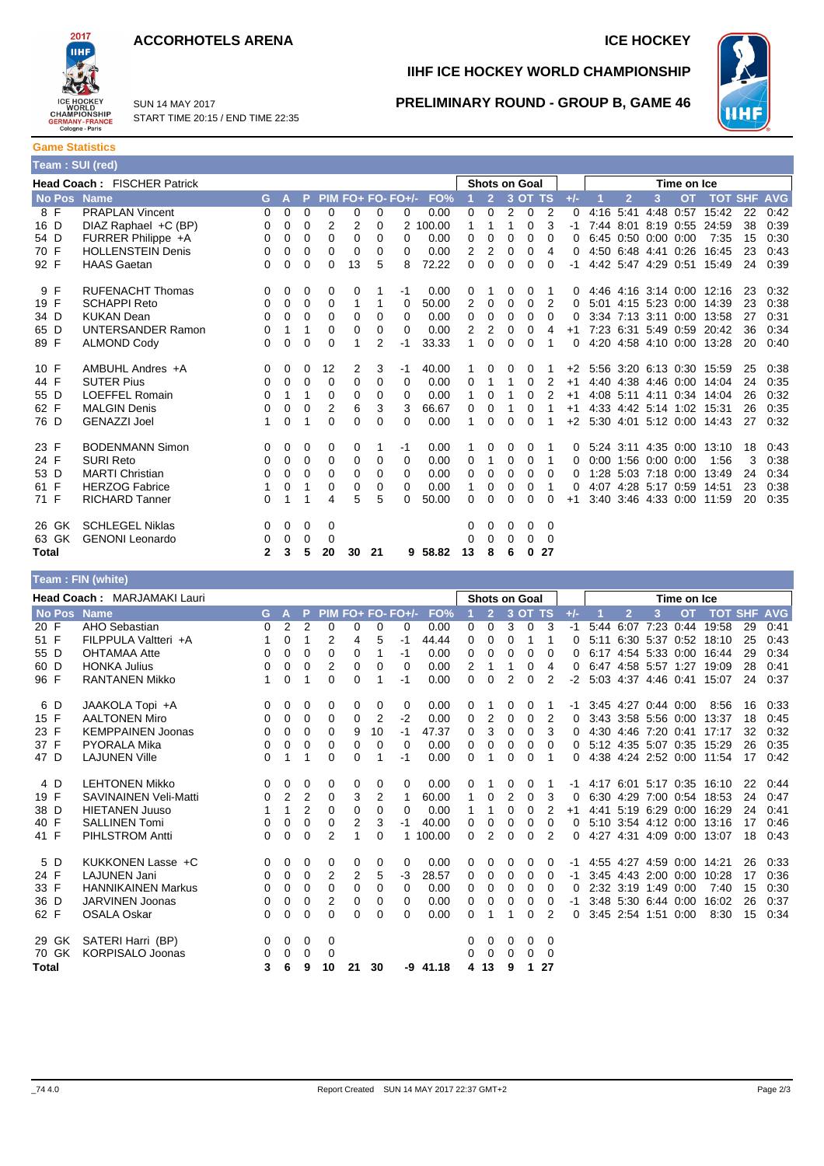



SUN 14 MAY 2017 START TIME 20:15 / END TIME 22:35

# **IIHF ICE HOCKEY WORLD CHAMPIONSHIP**

#### **PRELIMINARY ROUND - GROUP B, GAME 46**



**Game Statistics Team : SUI (red)**

| $1$ valit . Our (row) |                             |              |          |          |             |          |    |                     |          |    |                      |              |          |          |       |      |                |                     |           |                           |            |            |
|-----------------------|-----------------------------|--------------|----------|----------|-------------|----------|----|---------------------|----------|----|----------------------|--------------|----------|----------|-------|------|----------------|---------------------|-----------|---------------------------|------------|------------|
|                       | Head Coach: FISCHER Patrick |              |          |          |             |          |    |                     |          |    | <b>Shots on Goal</b> |              |          |          |       |      | Time on Ice    |                     |           |                           |            |            |
| No Pos Name           |                             | G            | A        | P        |             |          |    | $PIM FO+ FO- FO+/-$ | FO%      |    | $\overline{2}$       |              | 3 OT TS  |          | $+/-$ |      | $\overline{2}$ | 3                   | <b>OT</b> | <b>TOT</b>                | <b>SHF</b> | <b>AVG</b> |
| 8 F                   | <b>PRAPLAN Vincent</b>      | 0            | 0        | 0        | 0           | 0        | 0  | 0                   | 0.00     | 0  | 0                    | 2            | 0        | 2        | 0     | 4:16 | 5:41           | 4:48                | 0:57      | 15:42                     | 22         | 0:42       |
| 16 D                  | DIAZ Raphael +C (BP)        | 0            | $\Omega$ | $\Omega$ | 2           | 2        | 0  |                     | 2 100.00 | 1  |                      |              | 0        | 3        |       | 7:44 | 8:01           | 8:19 0:55           |           | 24:59                     | 38         | 0:39       |
| 54 D                  | FURRER Philippe +A          | 0            | 0        | 0        | $\mathbf 0$ | 0        | 0  | 0                   | 0.00     | 0  | 0                    | 0            | 0        | 0        |       |      |                | 6:45 0:50 0:00 0:00 |           | 7:35                      | 15         | 0:30       |
| 70 F                  | <b>HOLLENSTEIN Denis</b>    | 0            | 0        | 0        | 0           | 0        | 0  | 0                   | 0.00     | 2  | 2                    | 0            | 0        | 4        |       |      |                | 4:50 6:48 4:41      | 0:26      | 16:45                     | 23         | 0:43       |
| 92 F                  | <b>HAAS Gaetan</b>          | 0            | 0        | 0        | $\Omega$    | 13       | 5  | 8                   | 72.22    | 0  | 0                    | $\Omega$     | 0        | $\Omega$ | -1    |      |                | 4:42 5:47 4:29 0:51 |           | 15:49                     | 24         | 0:39       |
| 9 F                   | <b>RUFENACHT Thomas</b>     | 0            | 0        | 0        | 0           | 0        |    | $-1$                | 0.00     | 0  |                      | 0            |          |          |       |      |                |                     |           | 4:46 4:16 3:14 0:00 12:16 | 23         | 0:32       |
| 19 F                  | <b>SCHAPPI Reto</b>         | $\Omega$     | 0        | 0        | 0           | 1        |    | 0                   | 50.00    | 2  | 0                    | 0            | 0        | 2        | 0     | 5:01 |                | $4:15$ 5:23 0:00    |           | 14:39                     | 23         | 0:38       |
| 34 D                  | <b>KUKAN Dean</b>           | 0            | 0        | 0        | 0           | 0        | 0  | 0                   | 0.00     | 0  | 0                    | 0            | 0        | 0        |       |      | 3:34 7:13 3:11 |                     | 0:00      | 13:58                     | 27         | 0:31       |
| 65 D                  | <b>UNTERSANDER Ramon</b>    | 0            |          | 1        | $\mathbf 0$ | 0        | 0  | 0                   | 0.00     | 2  | 2                    | 0            | 0        | 4        | $+1$  |      |                | 7:23 6:31 5:49 0:59 |           | 20:42                     | 36         | 0:34       |
| 89 F                  | <b>ALMOND Cody</b>          | 0            | 0        | 0        | 0           | 1        | 2  | $-1$                | 33.33    | 1  | $\Omega$             | $\Omega$     | $\Omega$ |          | 0     |      |                |                     |           | 4:20 4:58 4:10 0:00 13:28 | 20         | 0:40       |
| 10 F                  | AMBUHL Andres +A            | 0            | 0        | 0        | 12          | 2        | 3  | -1                  | 40.00    |    |                      |              | 0        |          | $+2$  |      |                |                     |           | 5.56 3.20 6.13 0.30 15.59 | 25         | 0:38       |
| 44 F                  | <b>SUTER Pius</b>           | 0            | 0        | 0        | 0           | 0        | 0  | 0                   | 0.00     | 0  |                      |              | 0        | 2        | $+1$  |      |                | 4:40 4:38 4:46 0:00 |           | 14:04                     | 24         | 0:35       |
| 55 D                  | <b>LOEFFEL Romain</b>       | 0            | 1        | 1        | 0           | 0        | 0  | 0                   | 0.00     | 1  | 0                    |              | 0        | 2        | $+1$  |      | 4:08 5:11 4:11 |                     |           | 0:34 14:04                | 26         | 0:32       |
| 62 F                  | <b>MALGIN Denis</b>         | 0            | 0        | 0        | 2           | 6        | 3  | 3                   | 66.67    | 0  | 0                    |              | 0        |          | $+1$  |      |                | 4:33 4:42 5:14 1:02 |           | 15:31                     | 26         | 0:35       |
| 76 D                  | <b>GENAZZI Joel</b>         |              | $\Omega$ | 1        | 0           | $\Omega$ | 0  | 0                   | 0.00     |    | 0                    | <sup>0</sup> | 0        |          | $+2$  |      |                | 5:30 4:01 5:12 0:00 |           | 14:43                     | 27         | 0:32       |
| 23 F                  | <b>BODENMANN Simon</b>      | $\Omega$     | 0        | 0        | 0           | 0        |    | $-1$                | 0.00     |    | 0                    | 0            |          |          |       |      |                | 5:24 3:11 4:35 0:00 |           | 13:10                     | 18         | 0:43       |
| 24 F                  | <b>SURI Reto</b>            | 0            | 0        | 0        | 0           | 0        | 0  | 0                   | 0.00     | 0  |                      | 0            | 0        |          |       | 0:00 |                | 1:56 0:00 0:00      |           | 1:56                      | 3          | 0:38       |
| 53 D                  | <b>MARTI Christian</b>      | 0            | 0        | $\Omega$ | 0           | 0        | 0  | 0                   | 0.00     | 0  | 0                    | 0            | 0        | $\Omega$ |       | 1:28 |                | 5:03 7:18 0:00      |           | 13:49                     | 24         | 0:34       |
| 61 F                  | <b>HERZOG Fabrice</b>       |              | 0        | 1        | 0           | 0        | 0  | 0                   | 0.00     |    | 0                    | 0            | 0        |          |       |      |                | 4:07 4:28 5:17 0:59 |           | 14:51                     | 23         | 0:38       |
| 71 F                  | <b>RICHARD Tanner</b>       | 0            |          |          | 4           | 5        | 5  | 0                   | 50.00    | 0  | $\Omega$             | 0            | 0        | 0        | $+1$  |      |                | 3:40 3:46 4:33 0:00 |           | 11:59                     | 20         | 0:35       |
| 26 GK                 | <b>SCHLEGEL Niklas</b>      | $\Omega$     | 0        | 0        | 0           |          |    |                     |          | 0  | 0                    | 0            | 0        | 0        |       |      |                |                     |           |                           |            |            |
| 63 GK                 | <b>GENONI</b> Leonardo      | 0            | 0        | 0        | 0           |          |    |                     |          | 0  |                      | 0            | 0        | 0        |       |      |                |                     |           |                           |            |            |
| <b>Total</b>          |                             | $\mathbf{2}$ | 3        | 5        | 20          | 30       | 21 |                     | 9 58.82  | 13 |                      | 6            | 0        | 27       |       |      |                |                     |           |                           |            |            |

|             | Team : FIN (white)                 |          |                |                |                |                |             |                   |        |                      |                |                |          |             |       |             |                |                     |                     |            |            |            |
|-------------|------------------------------------|----------|----------------|----------------|----------------|----------------|-------------|-------------------|--------|----------------------|----------------|----------------|----------|-------------|-------|-------------|----------------|---------------------|---------------------|------------|------------|------------|
|             | <b>Head Coach: MARJAMAKI Lauri</b> |          |                |                |                |                |             |                   |        | <b>Shots on Goal</b> |                |                |          |             |       | Time on Ice |                |                     |                     |            |            |            |
| No Pos Name |                                    | G.       | А              | P              |                |                |             | PIM FO+ FO- FO+/- | FO%    |                      | $\overline{2}$ |                | 3 OT TS  |             | $+/-$ |             | $\overline{2}$ | 3                   | <b>OT</b>           | <b>TOT</b> | <b>SHF</b> | <b>AVG</b> |
| 20 F        | AHO Sebastian                      | 0        | $\overline{2}$ | $\overline{2}$ | 0              | 0              | 0           | 0                 | 0.00   | 0                    | 0              | 3              | 0        | 3           | $-1$  | 5:44        | 6:07           | 7:23                | 0:44                | 19:58      | 29         | 0:41       |
| 51 F        | FILPPULA Valtteri +A               |          | 0              | 1              | 2              | 4              | 5           | -1                | 44.44  | 0                    | $\mathbf 0$    | 0              |          | 1           | 0     | 5:11        |                | 6:30 5:37           | 0:52                | 18:10      | 25         | 0:43       |
| 55 D        | <b>OHTAMAA Atte</b>                | 0        | 0              | 0              | 0              | 0              | 1           | -1                | 0.00   | 0                    | 0              | 0              | 0        | 0           | 0     | 6:17        |                | 4:54 5:33           | 0:00                | 16:44      | 29         | 0:34       |
| 60 D        | <b>HONKA Julius</b>                | 0        | 0              | 0              | $\overline{2}$ | 0              | 0           | $\mathbf 0$       | 0.00   | 2                    |                |                | 0        | 4           | 0     | 6:47        |                | 4:58 5:57 1:27      |                     | 19:09      | 28         | 0:41       |
| 96 F        | <b>RANTANEN Mikko</b>              | 1        | $\Omega$       | 1              | $\Omega$       | 0              |             | $-1$              | 0.00   | $\Omega$             | 0              | $\overline{2}$ | $\Omega$ | 2           | -2    |             |                | 5:03 4:37 4:46 0:41 |                     | 15:07      | 24         | 0:37       |
| 6 D         | JAAKOLA Topi +A                    | 0        | 0              | 0              | 0              | 0              | 0           | 0                 | 0.00   | 0                    |                | 0              | 0        |             | -1    |             |                | 3:45 4:27 0:44 0:00 |                     | 8:56       | 16         | 0:33       |
| 15 F        | <b>AALTONEN Miro</b>               | $\Omega$ | 0              | 0              | 0              | 0              | 2           | $-2$              | 0.00   | 0                    | $\overline{2}$ | 0              | 0        | 2           | 0     |             | 3:43 3:58 5:56 |                     | 0:00                | 13:37      | 18         | 0:45       |
| 23 F        | <b>KEMPPAINEN Joonas</b>           | 0        | 0              | 0              | $\mathbf 0$    | 9              | 10          | -1                | 47.37  | 0                    | 3              | 0              | 0        | 3           | 0     | 4:30        |                | 4:46 7:20           | 0:41                | 17:17      | 32         | 0:32       |
| 37 F        | <b>PYORALA Mika</b>                | 0        | 0              | 0              | 0              | 0              | $\mathbf 0$ | 0                 | 0.00   | 0                    | 0              | 0              | 0        | $\mathbf 0$ | 0     |             |                | 5:12 4:35 5:07 0:35 |                     | 15:29      | 26         | 0:35       |
| 47 D        | <b>LAJUNEN Ville</b>               | $\Omega$ | 1              | 1              | $\Omega$       | 0              |             | -1                | 0.00   | 0                    |                | 0              | 0        |             | 0     |             |                | 4:38 4:24 2:52 0:00 |                     | 11:54      | 17         | 0:42       |
| 4 D         | <b>LEHTONEN Mikko</b>              | 0        | 0              | 0              | 0              | 0              | 0           | 0                 | 0.00   | 0                    |                | 0              | 0        |             | -1    |             |                |                     | 4:17 6:01 5:17 0:35 | 16:10      | 22         | 0:44       |
| 19 F        | <b>SAVINAINEN Veli-Matti</b>       | 0        | $\overline{2}$ | $\overline{2}$ | $\mathbf 0$    | 3              | 2           | 1                 | 60.00  | 1                    | 0              | 2              | 0        | 3           | 0     | 6:30        | 4:29           | 7:00                | 0:54                | 18:53      | 24         | 0:47       |
| 38 D        | <b>HIETANEN Juuso</b>              | 1        | 1              | $\overline{2}$ | 0              | 0              | 0           | 0                 | 0.00   | 1                    | 1              | 0              | 0        | 2           | $+1$  |             | 4:41 5:19 6:29 |                     | 0:00                | 16:29      | 24         | 0:41       |
| 40 F        | <b>SALLINEN Tomi</b>               | 0        | 0              | 0              | 0              | $\overline{2}$ | 3           | -1                | 40.00  | 0                    | 0              | 0              | 0        | 0           | 0     |             |                | 5:10 3:54 4:12      | 0:00                | 13:16      | 17         | 0:46       |
| 41 F        | <b>PIHLSTROM Antti</b>             | $\Omega$ | 0              | 0              | 2              | 1              | 0           |                   | 100.00 | 0                    | $\overline{2}$ | $\Omega$       | $\Omega$ | 2           | 0     |             | 4:27 4:31      |                     | 4:09 0:00           | 13:07      | 18         | 0:43       |
| 5 D         | KUKKONEN Lasse +C                  | 0        | 0              | 0              | 0              | 0              | 0           | 0                 | 0.00   | 0                    | 0              | 0              | 0        | 0           | -1    |             |                | 4:55 4:27 4:59      | 0:00                | 14:21      | 26         | 0:33       |
| 24 F        | <b>LAJUNEN Jani</b>                | $\Omega$ | 0              | 0              | 2              | 2              | 5           | $-3$              | 28.57  | 0                    | 0              | 0              | 0        | 0           | -1    |             |                | 3:45 4:43 2:00      | 0:00                | 10:28      | 17         | 0:36       |
| 33 F        | <b>HANNIKAINEN Markus</b>          | 0        | 0              | 0              | 0              | 0              | 0           | 0                 | 0.00   | 0                    | 0              | 0              | 0        | 0           | 0     |             | 2:32 3:19      | 1:49                | 0:00                | 7:40       | 15         | 0:30       |
| 36 D        | <b>JARVINEN Joonas</b>             | 0        | 0              | 0              | 2              | 0              | 0           | 0                 | 0.00   | 0                    | 0              | 0              | 0        | 0           | -1    |             |                | 3:48 5:30 6:44      | 0:00                | 16:02      | 26         | 0:37       |
| 62 F        | <b>OSALA Oskar</b>                 | 0        | 0              | 0              | 0              | 0              | 0           | 0                 | 0.00   | 0                    | 1              | 1              | 0        | 2           | 0     |             | 3:45 2:54 1:51 |                     | 0:00                | 8:30       | 15         | 0:34       |
| 29 GK       | SATERI Harri (BP)                  | 0        | 0              | 0              | 0              |                |             |                   |        | 0                    | 0              | 0              | 0        | 0           |       |             |                |                     |                     |            |            |            |
| 70 GK       | <b>KORPISALO Joonas</b>            | 0        | $\Omega$       | 0              | 0              |                |             |                   |        | 0                    | 0              | 0              | 0        | 0           |       |             |                |                     |                     |            |            |            |
| Total       |                                    | 3        | 6              | 9              | 10             | 21             | 30          | -9                | 41.18  | 4                    | 13             | 9              | 1        | 27          |       |             |                |                     |                     |            |            |            |